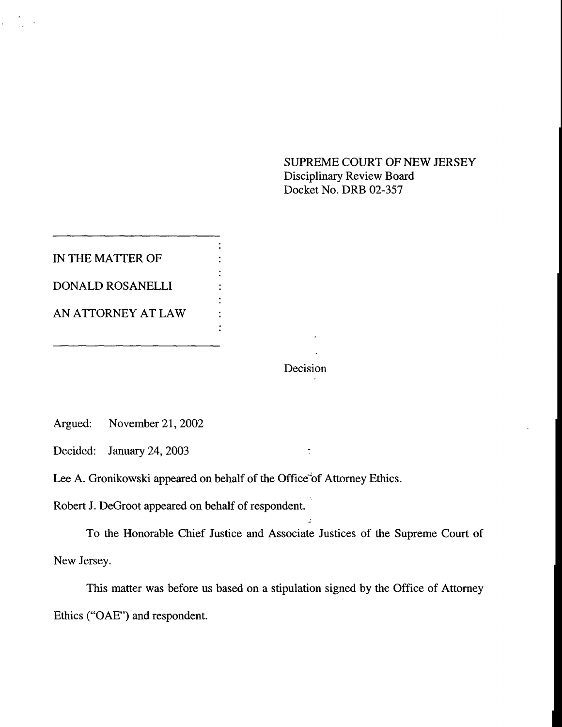SUPREME COURT OF NEW JERSEY Disciplinary Review Board Docket No. DRB 02-357

IN THE MATTER OF DONALD ROSANELLI AN ATTORNEY AT LAW

Decision

 $\ddot{\cdot}$ 

Argued: November 21, 2002

Decided: January 24, 2003

Lee A. Gronikowski appeared on behalf of the Office"of Attorney Ethics.

 $\ddot{ }$ 

 $\ddot{\cdot}$  $\ddot{\cdot}$ 

Robert J. DeGroot appeared on behalf of respondent.

To the Honorable Chief Justice and Associate Justices of the Supreme Court of New Jersey.

This matter was before us based on a stipulation signed by the Office of Attorney Ethics ("OAE") and respondent.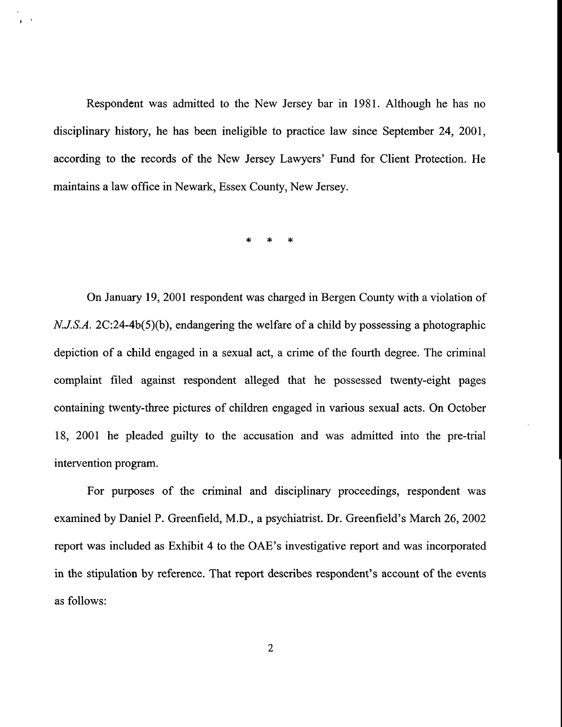Respondent was admitted to the New Jersey bar in 1981. Although he has no disciplinary history, he has been ineligible to practice law since September 24, 2001, according to the records of the New Jersey Lawyers' Fund for Client Protection. He maintains a law office in Newark, Essex County, New Jersey.

 $*$   $*$   $*$ 

On January 19, 2001 respondent was charged in Bergen County with a violation of *N.J.S.A.* 2C:24-4b(5)(b), endangering the welfare of a child by possessing a photographic depiction of a child engaged in a sexual act, a crime of the fourth degree. The criminal complaint filed against respondent alleged that he possessed twenty-eight pages containing twenty-three pictures of children engaged in various sexual acts. On October 18, 2001 he pleaded guilty to the accusation and was admitted into the pre-trial intervention program.

For purposes of the criminal and disciplinary proceedings, respondent was examined by Daniel P. Greenfield, M.D., a psychiatrist. Dr. Greenfield's March 26, 2002 report was included as Exhibit 4 to the OAE's investigative report and was incorporated in the stipulation by reference. That report describes respondent's account of the events as follows: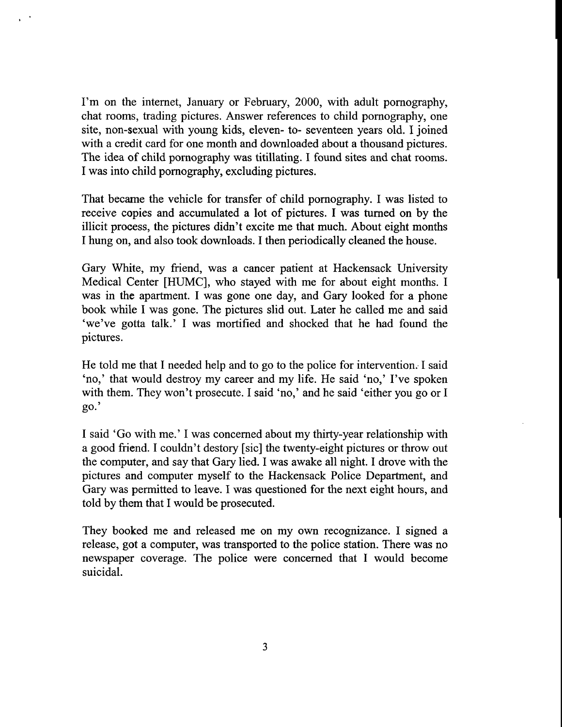I'm on the internet, January or February, 2000, with adult pornography, chat rooms, trading pictures. Answer references to child pornography, one site, non-sexual with young kids, eleven- to- seventeen years old. I joined with a credit card for one month and downloaded about a thousand pictures. The idea of child pornography was titillating. I found sites and chat rooms. I was into child pornography, excluding pictures.

That became the vehicle for transfer of child pornography. I was listed to receive copies and accumulated a lot of pictures. I was turned on by the illicit process, the pictures didn't excite me that much. About eight months I hung on, and also took downloads. I then periodically cleaned the house.

Gary White, my friend, was a cancer patient at Hackensack University Medical Center [HUMC], who stayed with me for about eight months. I was in the apartment. I was gone one day, and Gary looked for a phone book while I was gone. The pictures slid out. Later he called me and said 'we've gotta talk.' I was mortified and shocked that he had found the pictures.

He told me that I needed help and to go to the police for intervention. I said 'no,' that would destroy my career and my life. He said 'no,' I've spoken with them. They won't prosecute. I said 'no,' and he said 'either you go or I go.'

I said 'Go with me.' I was concerned about my thirty-year relationship with a good friend. I couldn't destory [sic] the twenty-eight pictures or throw out the computer, and say that Gary lied. I was awake all night. I drove with the pictures and computer myself to the Hackensack Police Department, and Gary was permitted to leave. I was questioned for the next eight hours, and told by them that I would be prosecuted.

They booked me and released me on my own recognizance. I signed a release, got a computer, was transported to the police station. There was no newspaper coverage. The police were concerned that I would become suicidal.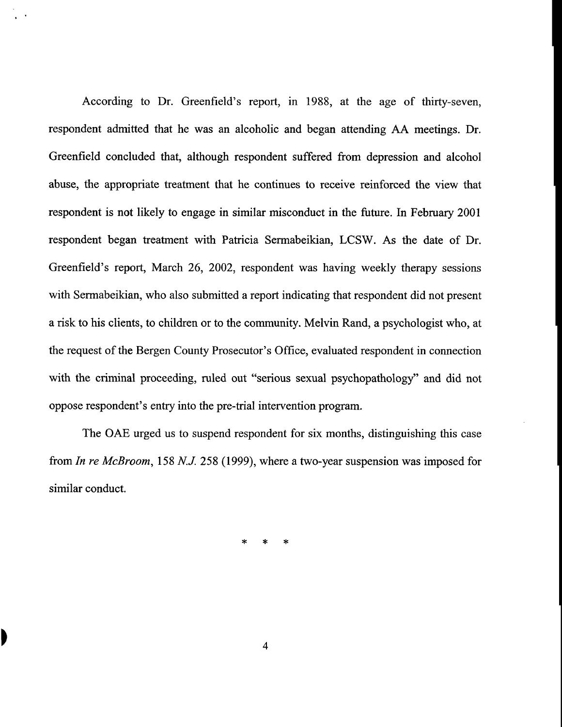According to Dr. Greenfield's report, in 1988, at the age of thirty-seven, respondent admitted that he was an alcoholic and began attending AA meetings. Dr. Greenfield concluded that, although respondent suffered from depression and alcohol abuse, the appropriate treatment that he continues to receive reinforced the view that respondent is not likely to engage in similar misconduct in the future. In February 2001 respondent began treatment with Patricia Sermabeikian, LCSW. As the date of Dr. Greenfield's report, March 26, 2002, respondent was having weekly therapy sessions with Sermabeikian, who also submitted a report indicating that respondent did not present a risk to his clients, to children or to the community. Melvin Rand, a psychologist who, at the request of the Bergen County Prosecutor's Office, evaluated respondent in connection with the criminal proceeding, ruled out "serious sexual psychopathology" and did not oppose respondent's entry into the pre-trial intervention program.

The OAE urged us to suspend respondent for six months, distinguishing this case from *In re MeBroom,* 158 N.J. 258 (1999), where a two-year suspension was imposed for similar conduct.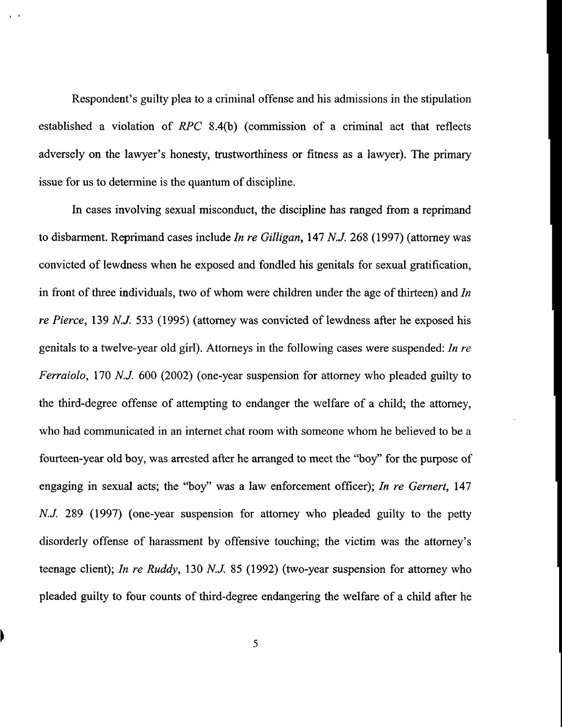Respondent's guilty plea to a criminal offense and his admissions in the stipulation established a violation of *RPC* 8.4(b) (commission of a criminal act that reflects adversely on the lawyer's honesty, trustworthiness or fitness as a lawyer). The primary issue for us to determine is the quantum of discipline.

In cases involving sexual misconduct, the discipline has ranged from a reprimand to disbarment. Reprimand cases include *In re Gilligan,* 147 N.J. 268 (1997) (attorney was convicted of lewdness when he exposed and fondled his genitals for sexual gratification, in front of three individuals, two of whom were children under the age of thirteen) and *In re Pierce,* 139 N.J. 533 (1995) (attorney was convicted of lewdness after he exposed his genitals to a twelve-year old girl). Attorneys in the following cases were suspended: *In re Ferraiolo,* 170 *N.J.* 600 (2002) (one-year suspension for attorney who pleaded guilty to the third-degree offense of attempting to endanger the welfare of a child; the attorney, who had communicated in an internet chat room with someone whom he believed to be a fourteen-year old boy, was arrested after he arranged to meet the "boy" for the purpose of engaging in sexual acts; the "boy" was a law enforcement officer); *In re Gernert,* 147 N.J. 289 (1997) (one-year suspension for attorney who pleaded guilty to the petty disorderly offense of harassment by offensive touching; the victim was the attorney's teenage client); *In re Ruddy,* 130 N.J. 85 (1992) (two-year suspension for attorney who pleaded guilty to four counts of third-degree endangering the welfare of a child after he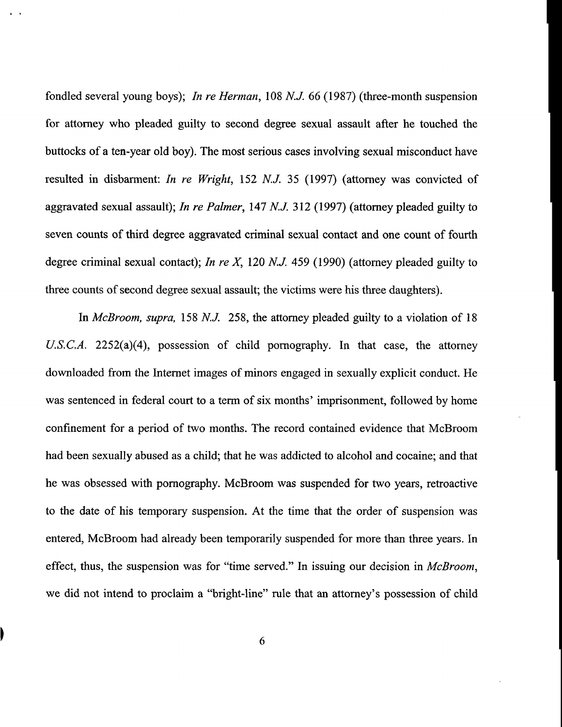fondled several young boys); *In re Herman,* 108 N.J. 66 (1987) (three-month suspension for attorney who pleaded guilty to second degree sexual assault after he touched the buttocks of a ten-year old boy). The most serious cases involving sexual misconduct have resulted in disbarment: *In re Wright,* 152 N.J. 35 (1997) (attorney was convicted of aggravated sexual assault); *In re Palmer,* 147 N.J. 312 (1997) (attorney pleaded guilty to seven counts of third degree aggravated criminal sexual contact and one count of fourth degree criminal sexual contact); *In re X,* 120 N.J. 459 (1990) (attorney pleaded guilty to three counts of second degree sexual assault; the victims were his three daughters).

In *McBroom, supra,* 158 N.J. 258, the attomey pleaded guilty to a violation of 18 *U.S.C.A.* 2252(a)(4), possession of child pornography. In that case, the attorney downloaded from the Internet images of minors engaged in sexually explicit conduct. He was sentenced in federal court to a term of six months' imprisonment, followed by home confinement for a period of two months. The record contained evidence that McBroom had been sexually abused as a child; that he was addicted to alcohol and cocaine; and that he was obsessed with pomography. McBroom was suspended for two years, retroactive to the date of his temporary suspension. At the time that the order of suspension was entered, McBroom had already been temporarily suspended for more than three years. In effect, thus, the suspension was for "time served." In issuing our decision in *McBroom,* we did not intend to proclaim a "bright-line" rule that an attorney's possession of child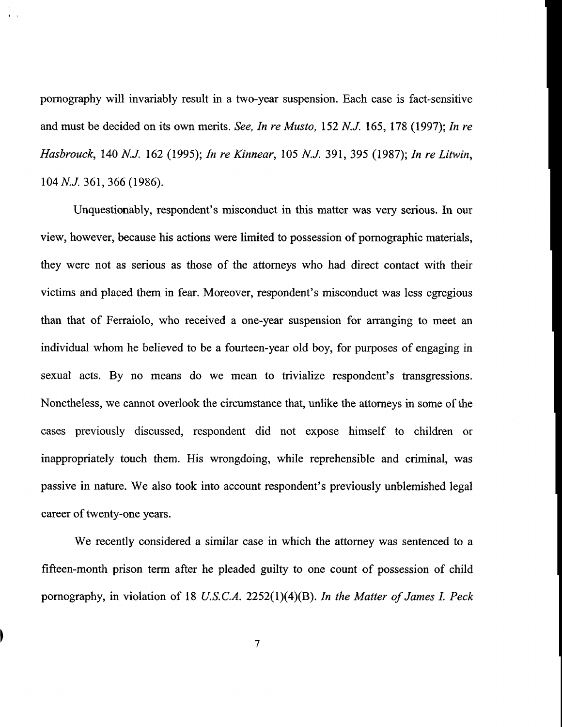pornography will invariably result in a two-year suspension. Each case is fact-sensitive and must be decided on its own merits. *See, In re Musto,* 152 *N.J.* 165, 178 (1997); *In re Hasbrouck,* 140 N.J. 162 (1995); *In re Kinnear,* 105 N.J. 391,395 (1987); *In re Litwin,* 104 N.J. 361,366 (1986).

Unquestionably, respondent's misconduct in this matter was very serious. In our view, however, because his actions were limited to possession of pornographic materials, they were not as serious as those of the attorneys who had direct contact with their victims and placed them in fear. Moreover, respondent's misconduct was less egregious than that of Ferraiolo, who received a one-year suspension for arranging to meet an individual whom he believed to be a fourteen-year old boy, for purposes of engaging in sexual acts. By no means do we mean to trivialize respondent's transgressions. Nonetheless, we cannot overlook the circumstance that, unlike the attorneys in some of the cases previously discussed, respondent did not expose himself to children or inappropriately touch them. His wrongdoing, while reprehensible and criminal, was passive in nature. We also took into account respondent's previously unblemished legal career of twenty-one years.

We recently considered a similar case in which the attorney was sentenced to a fifteen-month prison term after he pleaded guilty to one count of possession of child pornography, in violation of 18 *U.S.C.A.* 2252(1)(4)(B). *In the Matter of James 1. Peck*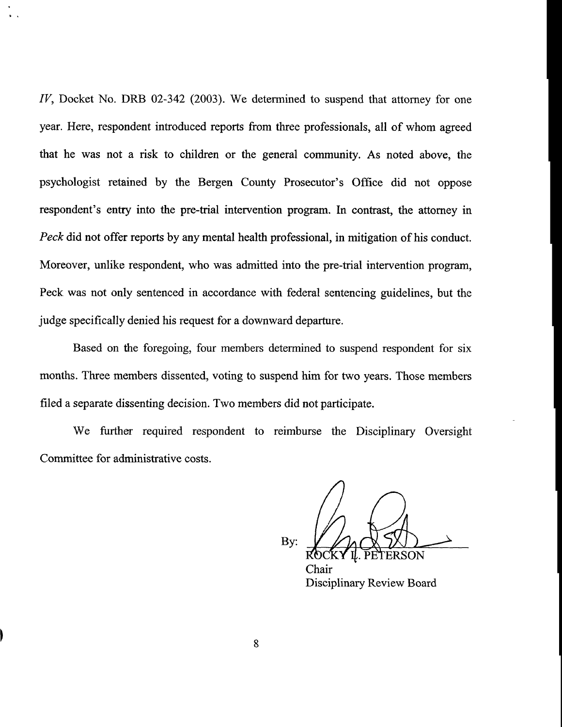*IV*, Docket No. DRB 02-342 (2003). We determined to suspend that attorney for one year. Here, respondent introduced reports from three professionals, all of whom agreed that he was not a risk to children or the general community. As noted above, the psychologist retained by the Bergen County Prosecutor's Office did not oppose respondent's entry into the pre-trial intervention program. In contrast, the attorney in *Peck* did not offer reports by any mental health professional, in mitigation of his conduct. Moreover, unlike respondent, who was admitted into the pre-trial intervention program, Peck was not only sentenced in accordance with federal sentencing guidelines, but the judge specifically denied his request for a downward departure.

Based on the foregoing, four members determined to suspend respondent for six months. Three members dissented, voting to suspend him for two years. Those members filed a separate dissenting decision. Two members did not participate.

We further required respondent to reimburse the Disciplinary Oversight Committee for administrative costs.

By:

Chair Disciplinary Review Board